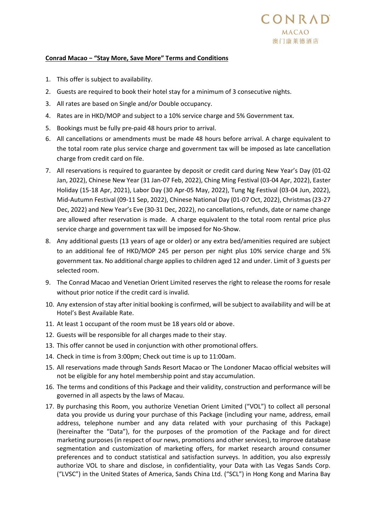## **Conrad Macao − "Stay More, Save More" Terms and Conditions**

- 1. This offer is subject to availability.
- 2. Guests are required to book their hotel stay for a minimum of 3 consecutive nights.
- 3. All rates are based on Single and/or Double occupancy.
- 4. Rates are in HKD/MOP and subject to a 10% service charge and 5% Government tax.
- 5. Bookings must be fully pre-paid 48 hours prior to arrival.
- 6. All cancellations or amendments must be made 48 hours before arrival. A charge equivalent to the total room rate plus service charge and government tax will be imposed as late cancellation charge from credit card on file.
- 7. All reservations is required to guarantee by deposit or credit card during New Year's Day (01-02 Jan, 2022), Chinese New Year (31 Jan-07 Feb, 2022), Ching Ming Festival (03-04 Apr, 2022), Easter Holiday (15-18 Apr, 2021), Labor Day (30 Apr-05 May, 2022), Tung Ng Festival (03-04 Jun, 2022), Mid-Autumn Festival (09-11 Sep, 2022), Chinese National Day (01-07 Oct, 2022), Christmas (23-27 Dec, 2022) and New Year's Eve (30-31 Dec, 2022), no cancellations, refunds, date or name change are allowed after reservation is made. A charge equivalent to the total room rental price plus service charge and government tax will be imposed for No-Show.
- 8. Any additional guests (13 years of age or older) or any extra bed/amenities required are subject to an additional fee of HKD/MOP 245 per person per night plus 10% service charge and 5% government tax. No additional charge applies to children aged 12 and under. Limit of 3 guests per selected room.
- 9. The Conrad Macao and Venetian Orient Limited reserves the right to release the rooms for resale without prior notice if the credit card is invalid.
- 10. Any extension of stay after initial booking is confirmed, will be subject to availability and will be at Hotel's Best Available Rate.
- 11. At least 1 occupant of the room must be 18 years old or above.
- 12. Guests will be responsible for all charges made to their stay.
- 13. This offer cannot be used in conjunction with other promotional offers.
- 14. Check in time is from 3:00pm; Check out time is up to 11:00am.
- 15. All reservations made through Sands Resort Macao or The Londoner Macao official websites will not be eligible for any hotel membership point and stay accumulation.
- 16. The terms and conditions of this Package and their validity, construction and performance will be governed in all aspects by the laws of Macau.
- 17. By purchasing this Room, you authorize Venetian Orient Limited ("VOL") to collect all personal data you provide us during your purchase of this Package (including your name, address, email address, telephone number and any data related with your purchasing of this Package) (hereinafter the "Data"), for the purposes of the promotion of the Package and for direct marketing purposes (in respect of our news, promotions and other services), to improve database segmentation and customization of marketing offers, for market research around consumer preferences and to conduct statistical and satisfaction surveys. In addition, you also expressly authorize VOL to share and disclose, in confidentiality, your Data with Las Vegas Sands Corp. ("LVSC") in the United States of America, Sands China Ltd. ("SCL") in Hong Kong and Marina Bay